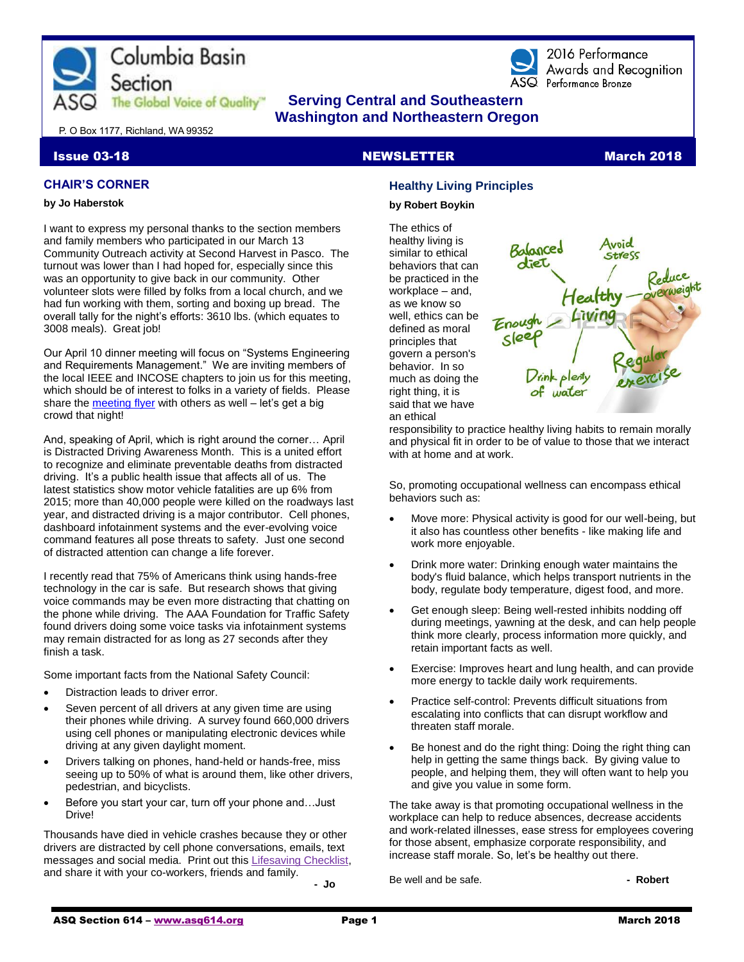



2016 Performance Awards and Recoanition ASQ Performance Bronze

# **The Global Voice of Quality"** Serving Central and Southeastern  **Washington and Northeastern Oregon**

P. O Box 1177, Richland, WA 99352

# **CHAIR'S CORNER**

#### **by Jo Haberstok**

I want to express my personal thanks to the section members and family members who participated in our March 13 Community Outreach activity at Second Harvest in Pasco. The turnout was lower than I had hoped for, especially since this was an opportunity to give back in our community. Other volunteer slots were filled by folks from a local church, and we had fun working with them, sorting and boxing up bread. The overall tally for the night's efforts: 3610 lbs. (which equates to 3008 meals). Great job!

Our April 10 dinner meeting will focus on "Systems Engineering and Requirements Management." We are inviting members of the local IEEE and INCOSE chapters to join us for this meeting, which should be of interest to folks in a variety of fields. Please share the [meeting flyer](http://www.asq614.org/programs/program1804.pdf) with others as well – let's get a big crowd that night!

And, speaking of April, which is right around the corner… April is Distracted Driving Awareness Month. This is a united effort to recognize and eliminate preventable deaths from distracted driving. It's a public health issue that affects all of us. The latest statistics show motor vehicle fatalities are up 6% from 2015; more than 40,000 people were killed on the roadways last year, and distracted driving is a major contributor. Cell phones, dashboard infotainment systems and the ever-evolving voice command features all pose threats to safety. Just one second of distracted attention can change a life forever.

I recently read that 75% of Americans think using hands-free technology in the car is safe. But research shows that giving voice commands may be even more distracting that chatting on the phone while driving. The AAA Foundation for Traffic Safety found drivers doing some voice tasks via infotainment systems may remain distracted for as long as 27 seconds after they finish a task.

Some important facts from the National Safety Council:

- Distraction leads to driver error.
- Seven percent of all drivers at any given time are using their phones while driving. A survey found 660,000 drivers using cell phones or manipulating electronic devices while driving at any given daylight moment.
- Drivers talking on phones, hand-held or hands-free, miss seeing up to 50% of what is around them, like other drivers, pedestrian, and bicyclists.
- Before you start your car, turn off your phone and…Just Drive!

Thousands have died in vehicle crashes because they or other drivers are distracted by cell phone conversations, emails, text messages and social media. Print out this [Lifesaving Checklist,](http://www.nsc.org/DistractedDrivingDocuments/2018-DDAM/Safety%20Checklist%20Half%20Page.pdf) and share it with your co-workers, friends and family.

**- Jo**

# **Issue 03-18 NEWSLETTER MEWSLETTER** March 2018

# **Healthy Living Principles**

#### **by Robert Boykin**

The ethics of healthy living is similar to ethical behaviors that can be practiced in the workplace – and, as we know so well, ethics can be defined as moral principles that govern a person's behavior. In so much as doing the right thing, it is said that we have an ethical



responsibility to practice healthy living habits to remain morally and physical fit in order to be of value to those that we interact with at home and at work.

So, promoting occupational wellness can encompass ethical behaviors such as:

- Move more: Physical activity is good for our well-being, but it also has countless other benefits - like making life and work more enjoyable.
- Drink more water: Drinking enough water maintains the body's fluid balance, which helps transport nutrients in the body, regulate body temperature, digest food, and more.
- Get enough sleep: Being well-rested inhibits nodding off during meetings, yawning at the desk, and can help people think more clearly, process information more quickly, and retain important facts as well.
- Exercise: Improves heart and lung health, and can provide more energy to tackle daily work requirements.
- Practice self-control: Prevents difficult situations from escalating into conflicts that can disrupt workflow and threaten staff morale.
- Be honest and do the right thing: Doing the right thing can help in getting the same things back. By giving value to people, and helping them, they will often want to help you and give you value in some form.

The take away is that promoting occupational wellness in the workplace can help to reduce absences, decrease accidents and work-related illnesses, ease stress for employees covering for those absent, emphasize corporate responsibility, and increase staff morale. So, let's be healthy out there.

Be well and be safe. **- Accelerate and Solution - Robert - Robert**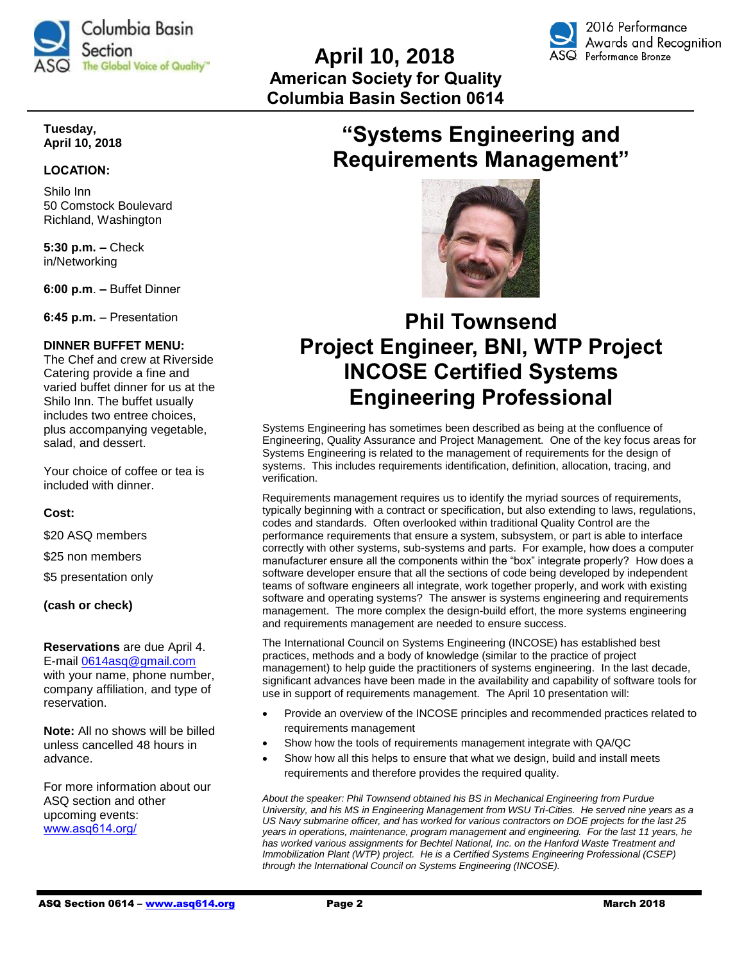

# **April 10, 2018 American Society for Quality Columbia Basin Section 0614**



# **Tuesday, April 10, 2018**

# **LOCATION:**

Shilo Inn 50 Comstock Boulevard Richland, Washington

**5:30 p.m. –** Check in/Networking

**6:00 p.m**. **–** Buffet Dinner

**6:45 p.m.** – Presentation

# **DINNER BUFFET MENU:**

The Chef and crew at Riverside Catering provide a fine and varied buffet dinner for us at the Shilo Inn. The buffet usually includes two entree choices, plus accompanying vegetable, salad, and dessert.

Your choice of coffee or tea is included with dinner.

# **Cost:**

\$20 ASQ members

\$25 non members

\$5 presentation only

**(cash or check)**

#### **Reservations** are due April 4.

E-mail [0614asq@gmail.com](file:///G:/ASQ%202018/2018%20Newsletters/Mar%202018%20Newsletter/0614asq@gmail.com) with your name, phone number, company affiliation, and type of reservation.

**Note:** All no shows will be billed unless cancelled 48 hours in advance.

For more information about our ASQ section and other upcoming events: [www.asq614.org/](http://www.asq614.org/)

# **"Systems Engineering and Requirements Management"**



# **Phil Townsend Project Engineer, BNI, WTP Project INCOSE Certified Systems Engineering Professional**

Systems Engineering has sometimes been described as being at the confluence of Engineering, Quality Assurance and Project Management. One of the key focus areas for Systems Engineering is related to the management of requirements for the design of systems. This includes requirements identification, definition, allocation, tracing, and verification.

Requirements management requires us to identify the myriad sources of requirements, typically beginning with a contract or specification, but also extending to laws, regulations, codes and standards. Often overlooked within traditional Quality Control are the performance requirements that ensure a system, subsystem, or part is able to interface correctly with other systems, sub-systems and parts. For example, how does a computer manufacturer ensure all the components within the "box" integrate properly? How does a software developer ensure that all the sections of code being developed by independent teams of software engineers all integrate, work together properly, and work with existing software and operating systems? The answer is systems engineering and requirements management. The more complex the design-build effort, the more systems engineering and requirements management are needed to ensure success.

The International Council on Systems Engineering (INCOSE) has established best practices, methods and a body of knowledge (similar to the practice of project management) to help guide the practitioners of systems engineering. In the last decade, significant advances have been made in the availability and capability of software tools for use in support of requirements management. The April 10 presentation will:

- Provide an overview of the INCOSE principles and recommended practices related to requirements management
- Show how the tools of requirements management integrate with QA/QC
- Show how all this helps to ensure that what we design, build and install meets requirements and therefore provides the required quality.

*About the speaker: Phil Townsend obtained his BS in Mechanical Engineering from Purdue University, and his MS in Engineering Management from WSU Tri-Cities. He served nine years as a US Navy submarine officer, and has worked for various contractors on DOE projects for the last 25 years in operations, maintenance, program management and engineering. For the last 11 years, he has worked various assignments for Bechtel National, Inc. on the Hanford Waste Treatment and Immobilization Plant (WTP) project. He is a Certified Systems Engineering Professional (CSEP) through the International Council on Systems Engineering (INCOSE).*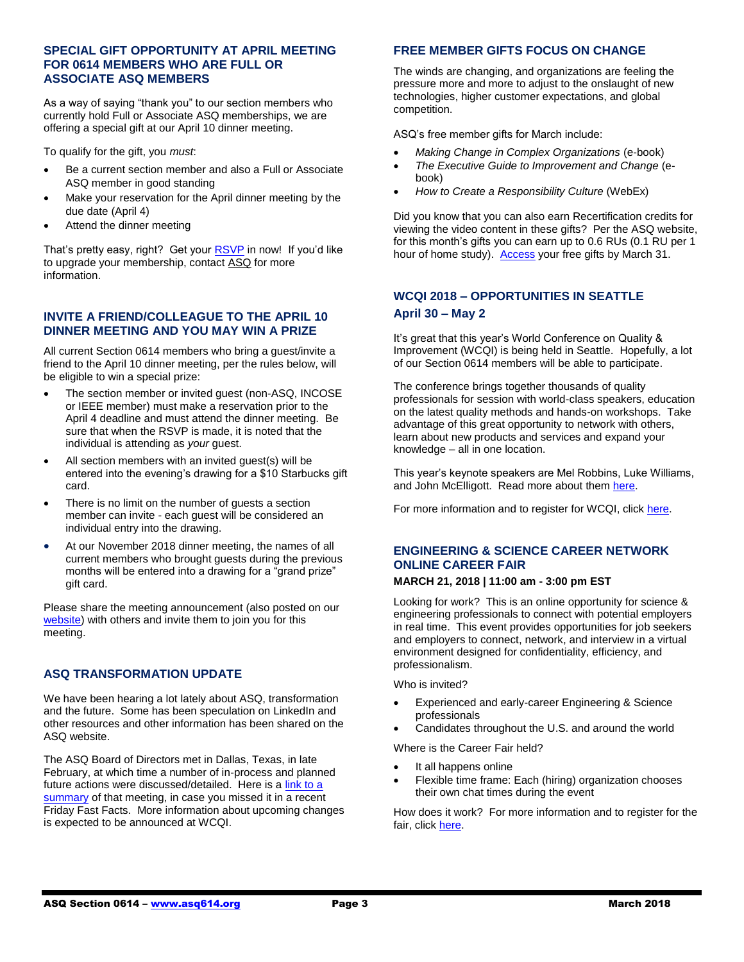# **SPECIAL GIFT OPPORTUNITY AT APRIL MEETING FOR 0614 MEMBERS WHO ARE FULL OR ASSOCIATE ASQ MEMBERS**

As a way of saying "thank you" to our section members who currently hold Full or Associate ASQ memberships, we are offering a special gift at our April 10 dinner meeting.

To qualify for the gift, you *must*:

- Be a current section member and also a Full or Associate ASQ member in good standing
- Make your reservation for the April dinner meeting by the due date (April 4)
- Attend the dinner meeting

That's pretty easy, right? Get your [RSVP](mailto:0614asq@gmail.com) in now! If you'd like to upgrade your membership, contac[t ASQ](mailto:help@asq.org) for more information.

# **INVITE A FRIEND/COLLEAGUE TO THE APRIL 10 DINNER MEETING AND YOU MAY WIN A PRIZE**

All current Section 0614 members who bring a guest/invite a friend to the April 10 dinner meeting, per the rules below, will be eligible to win a special prize:

- The section member or invited guest (non-ASQ, INCOSE or IEEE member) must make a reservation prior to the April 4 deadline and must attend the dinner meeting. Be sure that when the RSVP is made, it is noted that the individual is attending as *your* guest.
- All section members with an invited guest(s) will be entered into the evening's drawing for a \$10 Starbucks gift card.
- There is no limit on the number of guests a section member can invite - each guest will be considered an individual entry into the drawing.
- At our November 2018 dinner meeting, the names of all current members who brought guests during the previous months will be entered into a drawing for a "grand prize" gift card.

Please share the meeting announcement (also posted on our [website\)](http://www.asq614.org/programs/program1804.pdf) with others and invite them to join you for this meeting.

# **ASQ TRANSFORMATION UPDATE**

We have been hearing a lot lately about ASQ, transformation and the future. Some has been speculation on LinkedIn and other resources and other information has been shared on the ASQ website.

The ASQ Board of Directors met in Dallas, Texas, in late February, at which time a number of in-process and planned future actions were discussed/detailed. Here is a link to a [summary](http://asq.org/members/leaders/2018/02/asq-board-meeting-update-february-2018.pdf?utm_source=email) of that meeting, in case you missed it in a recent Friday Fast Facts. More information about upcoming changes is expected to be announced at WCQI.

# **FREE MEMBER GIFTS FOCUS ON CHANGE**

The winds are changing, and organizations are feeling the pressure more and more to adjust to the onslaught of new technologies, higher customer expectations, and global competition.

ASQ's free member gifts for March include:

- *Making Change in Complex Organizations* (e-book)
- *The Executive Guide to Improvement and Change* (ebook)
- *How to Create a Responsibility Culture* (WebEx)

Did you know that you can also earn Recertification credits for viewing the video content in these gifts? Per the ASQ website, for this month's gifts you can earn up to 0.6 RUs (0.1 RU per 1 hour of home study). [Access](http://asq.org/membership/members/gift/?utm_source=email) your free gifts by March 31.

# **WCQI 2018 – OPPORTUNITIES IN SEATTLE April 30 – May 2**

It's great that this year's World Conference on Quality & Improvement (WCQI) is being held in Seattle. Hopefully, a lot of our Section 0614 members will be able to participate.

The conference brings together thousands of quality professionals for session with world-class speakers, education on the latest quality methods and hands-on workshops. Take advantage of this great opportunity to network with others, learn about new products and services and expand your knowledge – all in one location.

This year's keynote speakers are Mel Robbins, Luke Williams, and John McElligott. Read more about the[m here.](https://asq.org/conferences/wcqi/inspire/keynotes#mr)

For more information and to register for WCQI, clic[k here.](https://asq.org/conferences/wcqi)

# **ENGINEERING & SCIENCE CAREER NETWORK ONLINE CAREER FAIR**

# **MARCH 21, 2018 | 11:00 am - 3:00 pm EST**

Looking for work? This is an online opportunity for science & engineering professionals to connect with potential employers in real time. This event provides opportunities for job seekers and employers to connect, network, and interview in a virtual environment designed for confidentiality, efficiency, and professionalism.

Who is invited?

- Experienced and early-career Engineering & Science professionals
- Candidates throughout the U.S. and around the world

Where is the Career Fair held?

- It all happens online
- Flexible time frame: Each (hiring) organization chooses their own chat times during the event

How does it work? For more information and to register for the fair, clic[k here.](https://www.careereco.com/Fair/EventDetails?utm_campaign=communications%5Finsider%20%5F02212018&fairid=54d841b4%2D237f%2D4e6c%2D8436%2Da83b016f5d97&asq.org/?utm_source=email&utm_medium=email)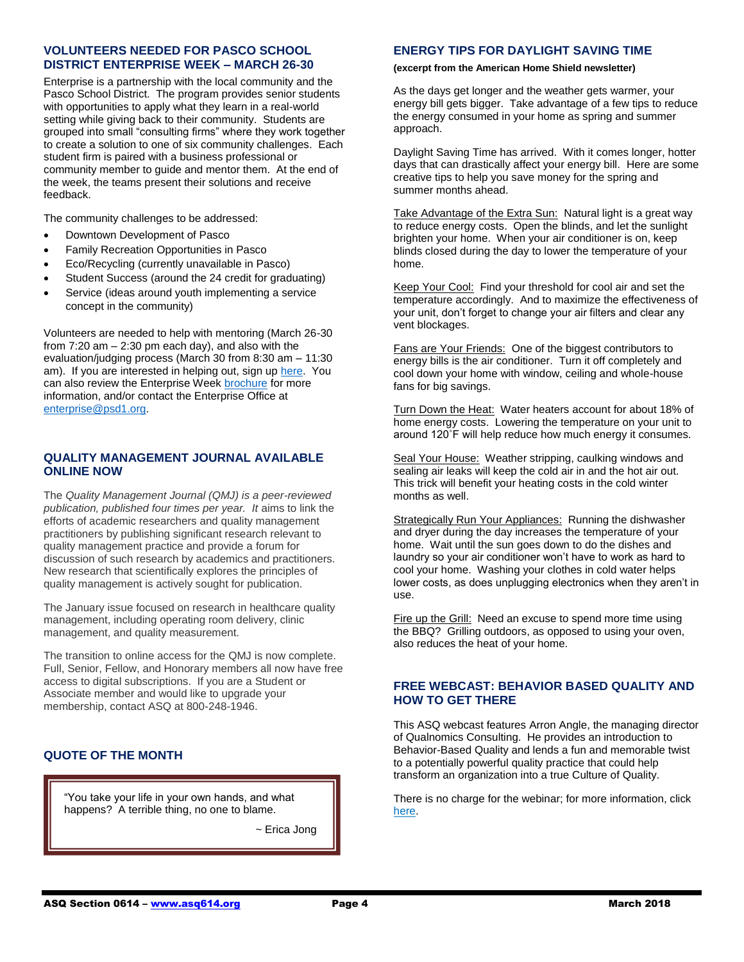#### **VOLUNTEERS NEEDED FOR PASCO SCHOOL DISTRICT ENTERPRISE WEEK – MARCH 26-30**

Enterprise is a partnership with the local community and the Pasco School District. The program provides senior students with opportunities to apply what they learn in a real-world setting while giving back to their community. Students are grouped into small "consulting firms" where they work together to create a solution to one of six community challenges. Each student firm is paired with a business professional or community member to guide and mentor them. At the end of the week, the teams present their solutions and receive feedback.

The community challenges to be addressed:

- Downtown Development of Pasco
- Family Recreation Opportunities in Pasco
- Eco/Recycling (currently unavailable in Pasco)
- Student Success (around the 24 credit for graduating)
- Service (ideas around youth implementing a service concept in the community)

Volunteers are needed to help with mentoring (March 26-30 from  $7:20$  am  $-2:30$  pm each day), and also with the evaluation/judging process (March 30 from 8:30 am – 11:30 am). If you are interested in helping out, sign up [here.](https://docs.google.com/forms/d/e/1FAIpQLSdzoO9ksQd3RX73ARauXUlds2_IWPqctJXTb709NKxQdBQPFg/viewform) You can also review the Enterprise Wee[k brochure](https://www.psd1.org/cms/lib/WA01001055/Centricity/Domain/775/brochure%20half%20page.pdf) for more information, and/or contact the Enterprise Office at [enterprise@psd1.org.](mailto:enterprise@psd1.org)

### **QUALITY MANAGEMENT JOURNAL AVAILABLE ONLINE NOW**

The *Quality Management Journal (QMJ) is a peer-reviewed publication, published four times per year. It* aims to link the efforts of academic researchers and quality management practitioners by publishing significant research relevant to quality management practice and provide a forum for discussion of such research by academics and practitioners. New research that scientifically explores the principles of quality management is actively sought for publication.

The January issue focused on research in healthcare quality management, including operating room delivery, clinic management, and quality measurement.

The transition to online access for the QMJ is now complete. Full, Senior, Fellow, and Honorary members all now have free access to digital subscriptions. If you are a Student or Associate member and would like to upgrade your membership, contact ASQ at 800-248-1946.

# **QUOTE OF THE MONTH**

"You take your life in your own hands, and what happens? A terrible thing, no one to blame.

~ Erica Jong

# **ENERGY TIPS FOR DAYLIGHT SAVING TIME**

#### **(excerpt from the American Home Shield newsletter)**

As the days get longer and the weather gets warmer, your energy bill gets bigger. Take advantage of a few tips to reduce the energy consumed in your home as spring and summer approach.

Daylight Saving Time has arrived. With it comes longer, hotter days that can drastically affect your energy bill. Here are some creative tips to help you save money for the spring and summer months ahead.

Take Advantage of the Extra Sun: Natural light is a great way to reduce energy costs. Open the blinds, and let the sunlight brighten your home. When your air conditioner is on, keep blinds closed during the day to lower the temperature of your home.

Keep Your Cool: Find your threshold for cool air and set the temperature accordingly. And to maximize the effectiveness of your unit, don't forget to change your air filters and clear any vent blockages.

Fans are Your Friends: One of the biggest contributors to energy bills is the air conditioner. Turn it off completely and cool down your home with window, ceiling and whole-house fans for big savings.

Turn Down the Heat: Water heaters account for about 18% of home energy costs. Lowering the temperature on your unit to around 120˚F will help reduce how much energy it consumes.

Seal Your House: Weather stripping, caulking windows and sealing air leaks will keep the cold air in and the hot air out. This trick will benefit your heating costs in the cold winter months as well.

Strategically Run Your Appliances: Running the dishwasher and dryer during the day increases the temperature of your home. Wait until the sun goes down to do the dishes and laundry so your air conditioner won't have to work as hard to cool your home. Washing your clothes in cold water helps lower costs, as does unplugging electronics when they aren't in use.

Fire up the Grill: Need an excuse to spend more time using the BBQ? Grilling outdoors, as opposed to using your oven, also reduces the heat of your home.

# **FREE WEBCAST: BEHAVIOR BASED QUALITY AND HOW TO GET THERE**

This ASQ webcast features Arron Angle, the managing director of Qualnomics Consulting. He provides an introduction to Behavior-Based Quality and lends a fun and memorable twist to a potentially powerful quality practice that could help transform an organization into a true Culture of Quality.

There is no charge for the webinar; for more information, click [here.](http://asq.org/2017/07/continuous-improvement/webcast-behavior-based-quality-and-how-to-get-there.html?utm_source=email&utm_medium=email&utm_campaign=editorial_qpconnection_0218)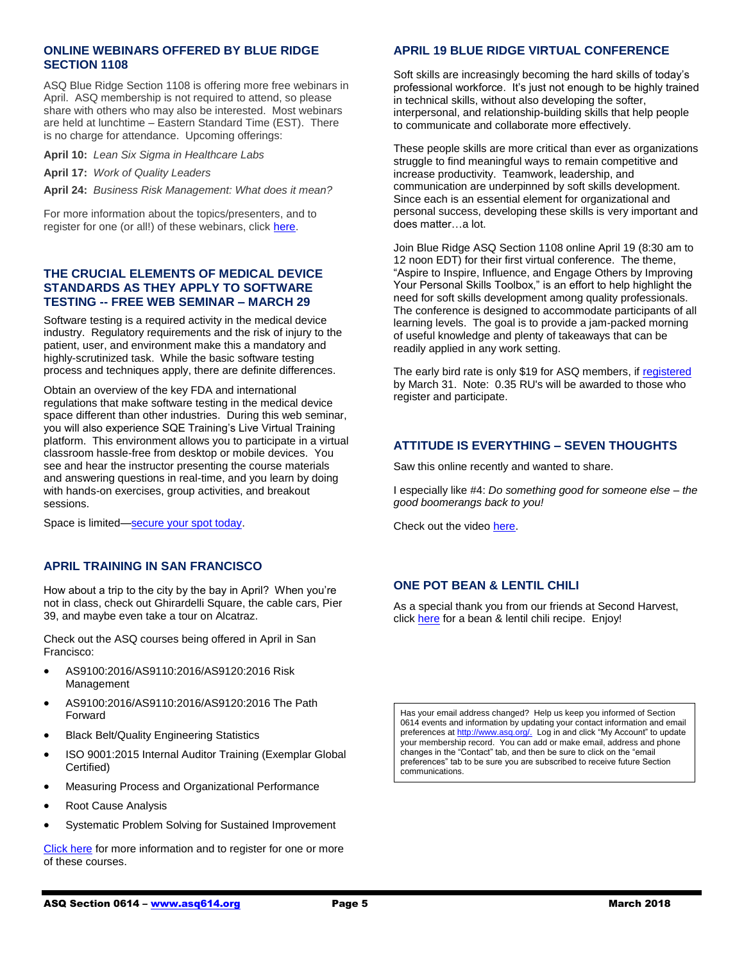# **ONLINE WEBINARS OFFERED BY BLUE RIDGE SECTION 1108**

ASQ Blue Ridge Section 1108 is offering more free webinars in April. ASQ membership is not required to attend, so please share with others who may also be interested. Most webinars are held at lunchtime – Eastern Standard Time (EST). There is no charge for attendance. Upcoming offerings:

**April 10:** *Lean Six Sigma in Healthcare Labs*

**April 17:** *Work of Quality Leaders*

**April 24:** *Business Risk Management: What does it mean?*

For more information about the topics/presenters, and to register for one (or all!) of these webinars, click [here.](http://www.blueridgeasq1108.org/upcoming-events/)

# **THE CRUCIAL ELEMENTS OF MEDICAL DEVICE STANDARDS AS THEY APPLY TO SOFTWARE TESTING -- FREE WEB SEMINAR – MARCH 29**

Software testing is a required activity in the medical device industry. Regulatory requirements and the risk of injury to the patient, user, and environment make this a mandatory and highly-scrutinized task. While the basic software testing process and techniques apply, there are definite differences.

Obtain an overview of the key FDA and international regulations that make software testing in the medical device space different than other industries. During this web seminar, you will also experience SQE Training's Live Virtual Training platform. This environment allows you to participate in a virtual classroom hassle-free from desktop or mobile devices. You see and hear the instructor presenting the course materials and answering questions in real-time, and you learn by doing with hands-on exercises, group activities, and breakout sessions.

Space is limited[—secure your spot today.](https://events-na2.adobeconnect.com/content/connect/c1/980348322/en/events/event/shared/default_template/event_landing.html?sco-id=1137317802&_charset_=utf-8)

# **APRIL TRAINING IN SAN FRANCISCO**

How about a trip to the city by the bay in April? When you're not in class, check out Ghirardelli Square, the cable cars, Pier 39, and maybe even take a tour on Alcatraz.

Check out the ASQ courses being offered in April in San Francisco:

- AS9100:2016/AS9110:2016/AS9120:2016 Risk Management
- AS9100:2016/AS9110:2016/AS9120:2016 The Path Forward
- Black Belt/Quality Engineering Statistics
- ISO 9001:2015 Internal Auditor Training (Exemplar Global Certified)
- Measuring Process and Organizational Performance
- Root Cause Analysis
- Systematic Problem Solving for Sustained Improvement

[Click here](https://asq.org/training/catalog?loc=ca-sanfrancisco&utm_source=email&utm_medium=email&utm_campaign=marketing_training_pubcourses_022018) for more information and to register for one or more of these courses.

# **APRIL 19 BLUE RIDGE VIRTUAL CONFERENCE**

Soft skills are increasingly becoming the hard skills of today's professional workforce. It's just not enough to be highly trained in technical skills, without also developing the softer, interpersonal, and relationship-building skills that help people to communicate and collaborate more effectively.

These people skills are more critical than ever as organizations struggle to find meaningful ways to remain competitive and increase productivity. Teamwork, leadership, and communication are underpinned by soft skills development. Since each is an essential element for organizational and personal success, developing these skills is very important and does matter…a lot.

Join Blue Ridge ASQ Section 1108 online April 19 (8:30 am to 12 noon EDT) for their first virtual conference. The theme, "Aspire to Inspire, Influence, and Engage Others by Improving Your Personal Skills Toolbox," is an effort to help highlight the need for soft skills development among quality professionals. The conference is designed to accommodate participants of all learning levels. The goal is to provide a jam-packed morning of useful knowledge and plenty of takeaways that can be readily applied in any work setting.

The early bird rate is only \$19 for ASQ members, if [registered](https://www.eventbrite.com/e/asq-blue-ridge-first-annual-virtual-conference-tickets-43300627342?utm_source=email&utm_medium=email&utm_campaign=communications_fff_3.2.18) by March 31. Note: 0.35 RU's will be awarded to those who register and participate.

#### **ATTITUDE IS EVERYTHING – SEVEN THOUGHTS**

Saw this online recently and wanted to share.

I especially like #4: *Do something good for someone else – the good boomerangs back to you!*

Check out the video [here.](https://www.youtube.com/watch?time_continue=144&v=mq4XNevw4kA)

# **ONE POT BEAN & LENTIL CHILI**

As a special thank you from our friends at Second Harvest, click [here](https://secondharvestkitchen.org/core/files/secondharvestkitchen/uploads/files/One%20Pot%20Bean%20and%20Lentil%20Chili(1).pdf) for a bean & lentil chili recipe. Enjoy!

Has your email address changed? Help us keep you informed of Section 0614 events and information by updating your contact information and email preferences a[t http://www.asq.org/.](http://www.asq.org/) Log in and click "My Account" to update your membership record. You can add or make email, address and phone changes in the "Contact" tab, and then be sure to click on the "email preferences" tab to be sure you are subscribed to receive future Section communications.